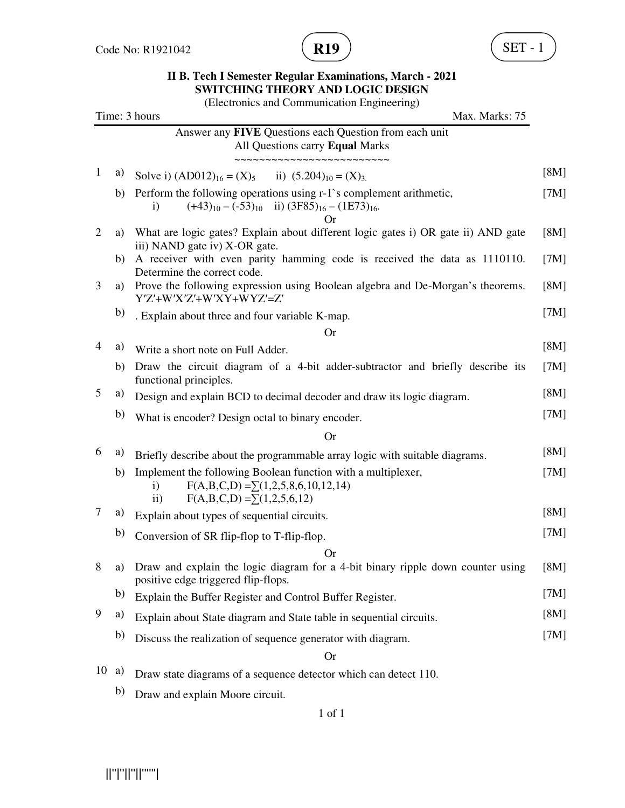

|                |    | (Electronics and Communication Engineering)                                                                                                                               |      |
|----------------|----|---------------------------------------------------------------------------------------------------------------------------------------------------------------------------|------|
|                |    | Time: 3 hours<br>Max. Marks: 75                                                                                                                                           |      |
|                |    | Answer any FIVE Questions each Question from each unit<br>All Questions carry Equal Marks                                                                                 |      |
| $\mathbf{1}$   | a) | ~~~~~~~~~~~~~~~~~~<br>Solve i) $(AD012)_{16} = (X)_5$ ii) $(5.204)_{10} = (X)_3$ .                                                                                        | [8M] |
|                | b) | Perform the following operations using r-1's complement arithmetic,<br>$(+43)_{10} - (-53)_{10}$ ii) $(3F85)_{16} - (1E73)_{16}$ .<br>$\mathbf{i}$<br>Or                  | [7M] |
| $\overline{c}$ | a) | What are logic gates? Explain about different logic gates i) OR gate ii) AND gate<br>iii) NAND gate iv) X-OR gate.                                                        | [8M] |
|                | b) | A receiver with even parity hamming code is received the data as 1110110.<br>Determine the correct code.                                                                  | [7M] |
| 3              | a) | Prove the following expression using Boolean algebra and De-Morgan's theorems.<br>Y'Z'+W'X'Z'+W'XY+WYZ'=Z'                                                                | [8M] |
|                | b) | . Explain about three and four variable K-map.                                                                                                                            | [7M] |
|                |    | <b>Or</b>                                                                                                                                                                 |      |
| 4              | a) | Write a short note on Full Adder.                                                                                                                                         | [8M] |
|                | b) | Draw the circuit diagram of a 4-bit adder-subtractor and briefly describe its<br>functional principles.                                                                   | [7M] |
| 5              | a) | Design and explain BCD to decimal decoder and draw its logic diagram.                                                                                                     | [8M] |
|                | b) | What is encoder? Design octal to binary encoder.                                                                                                                          | [7M] |
|                |    | <b>Or</b>                                                                                                                                                                 |      |
| 6              | a) | Briefly describe about the programmable array logic with suitable diagrams.                                                                                               | [8M] |
|                | b) | Implement the following Boolean function with a multiplexer,<br>$F(A,B,C,D) = \sum (1,2,5,8,6,10,12,14)$<br>$\mathbf{i}$<br>$F(A,B,C,D) = \sum (1,2,5,6,12)$<br>$\rm ii)$ | [7M] |
| 7              | a) | Explain about types of sequential circuits.                                                                                                                               | [8M] |
|                | b) | Conversion of SR flip-flop to T-flip-flop.                                                                                                                                | [7M] |
|                |    | <b>Or</b>                                                                                                                                                                 |      |
| 8              | a) | Draw and explain the logic diagram for a 4-bit binary ripple down counter using<br>positive edge triggered flip-flops.                                                    | [8M] |
|                | b) | Explain the Buffer Register and Control Buffer Register.                                                                                                                  | [7M] |
| 9              | a) | Explain about State diagram and State table in sequential circuits.                                                                                                       | [8M] |
|                | b) | Discuss the realization of sequence generator with diagram.                                                                                                               | [7M] |
|                |    | <b>Or</b>                                                                                                                                                                 |      |

- 10 a) Draw state diagrams of a sequence detector which can detect 110.
	- b) Draw and explain Moore circuit.

#### 1 of 1

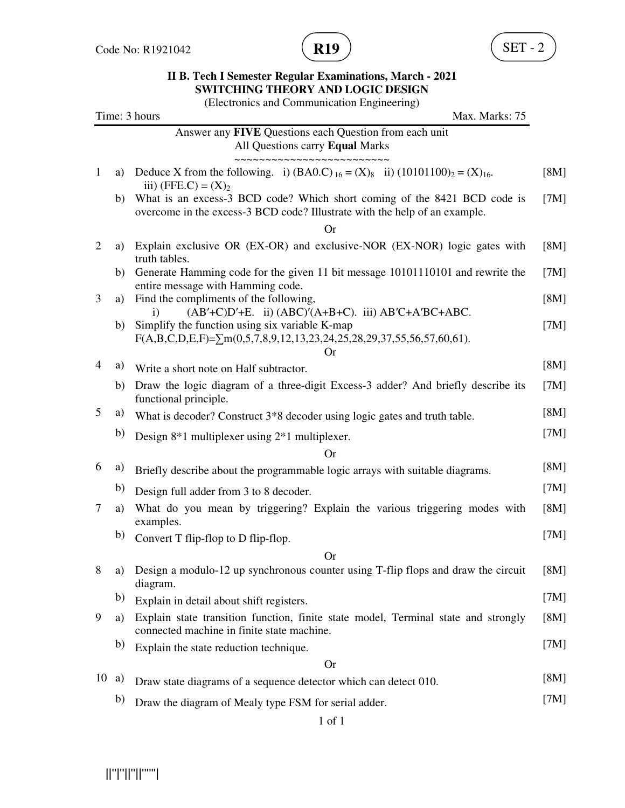

(Electronics and Communication Engineering)

|                |    | (Littuonits and Communication Lingmeeting)<br>Time: 3 hours<br>Max. Marks: 75                                                                          |      |
|----------------|----|--------------------------------------------------------------------------------------------------------------------------------------------------------|------|
|                |    | Answer any FIVE Questions each Question from each unit<br>All Questions carry Equal Marks                                                              |      |
| $\mathbf{1}$   | a) | Deduce X from the following. i) $(BAO.C)_{16} = (X)_{8}$ ii) $(10101100)_{2} = (X)_{16}$ .<br>iii) (FFE.C) = $(X)_2$                                   | [8M] |
|                | b) | What is an excess-3 BCD code? Which short coming of the 8421 BCD code is<br>overcome in the excess-3 BCD code? Illustrate with the help of an example. | [7M] |
| $\overline{2}$ |    | <b>Or</b>                                                                                                                                              |      |
|                | a) | Explain exclusive OR (EX-OR) and exclusive-NOR (EX-NOR) logic gates with<br>truth tables.                                                              | [8M] |
|                | b) | Generate Hamming code for the given 11 bit message 10101110101 and rewrite the<br>entire message with Hamming code.                                    | [7M] |
| 3              | a) | Find the compliments of the following,<br>$(AB'+C)D'+E$ . ii) $(ABC)'(A+B+C)$ . iii) $AB'C+A'BC+ABC$ .<br>$\mathbf{i}$                                 | [8M] |
|                | b) | Simplify the function using six variable K-map<br>$F(A,B,C,D,E,F)=\sum m(0,5,7,8,9,12,13,23,24,25,28,29,37,55,56,57,60,61).$<br>Or                     | [7M] |
| $\overline{4}$ | a) | Write a short note on Half subtractor.                                                                                                                 | [8M] |
|                | b) | Draw the logic diagram of a three-digit Excess-3 adder? And briefly describe its<br>functional principle.                                              | [7M] |
| 5              | a) | What is decoder? Construct 3*8 decoder using logic gates and truth table.                                                                              | [8M] |
|                | b) | Design $8*1$ multiplexer using $2*1$ multiplexer.                                                                                                      | [7M] |
|                |    | Or                                                                                                                                                     |      |
| 6              | a) | Briefly describe about the programmable logic arrays with suitable diagrams.                                                                           | [8M] |
|                | b) | Design full adder from 3 to 8 decoder.                                                                                                                 | [7M] |
| 7              | a) | What do you mean by triggering? Explain the various triggering modes with<br>examples.                                                                 | [8M] |
|                | b) | Convert T flip-flop to D flip-flop.                                                                                                                    | [7M] |
|                |    | <b>Or</b>                                                                                                                                              |      |
| 8              | a) | Design a modulo-12 up synchronous counter using T-flip flops and draw the circuit<br>diagram.                                                          | [8M] |
|                | b) | Explain in detail about shift registers.                                                                                                               | [7M] |
| 9              | a) | Explain state transition function, finite state model, Terminal state and strongly<br>connected machine in finite state machine.                       | [8M] |
|                | b) | Explain the state reduction technique.                                                                                                                 | [7M] |
|                |    | <b>Or</b>                                                                                                                                              |      |
| 10 a)          |    | Draw state diagrams of a sequence detector which can detect 010.                                                                                       | [8M] |
|                | b) | Draw the diagram of Mealy type FSM for serial adder.                                                                                                   | [7M] |

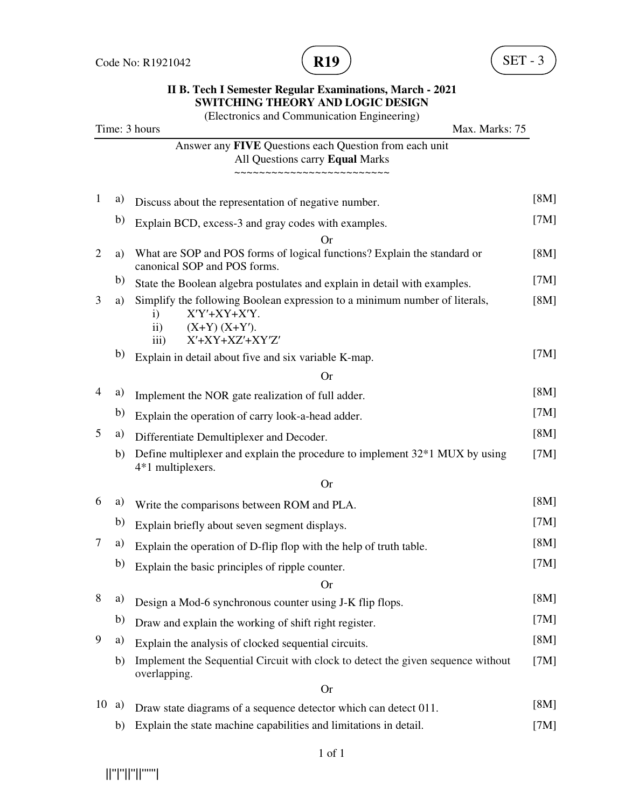

(Electronics and Communication Engineering) Time: 3 hours Max. Marks: 75 Answer any **FIVE** Questions each Question from each unit All Questions carry **Equal** Marks ~~~~~~~~~~~~~~~~~~~~~~~~~ 1 a) Discuss about the representation of negative number. [8M] b) Explain BCD, excess-3 and gray codes with examples. [7M] Or 2 a) What are SOP and POS forms of logical functions? Explain the standard or canonical SOP and POS forms. [8M] b) State the Boolean algebra postulates and explain in detail with examples. [7M] 3 a) Simplify the following Boolean expression to a minimum number of literals, i) X′Y′+XY+X′Y. ii)  $(X+Y)(X+Y')$ . iii) X′+XY+XZ′+XY′Z′ [8M] b) Explain in detail about five and six variable K-map. [7M] Or 4 a) Implement the NOR gate realization of full adder. [8M] b) Explain the operation of carry look-a-head adder. [7M] 5 a) Differentiate Demultiplexer and Decoder. [8M] b) Define multiplexer and explain the procedure to implement 32\*1 MUX by using 4\*1 multiplexers. [7M] Or 6 a) Write the comparisons between ROM and PLA. [8M] b) Explain briefly about seven segment displays. [7M] 7 a) Explain the operation of D-flip flop with the help of truth table. [8M] b) Explain the basic principles of ripple counter. [7M] Or 8 a) Design a Mod-6 synchronous counter using J-K flip flops. [8M] b) Draw and explain the working of shift right register. [7M] 9 a) Explain the analysis of clocked sequential circuits. [8M] b) Implement the Sequential Circuit with clock to detect the given sequence without overlapping. [7M] Or **Or** 10 a) Draw state diagrams of a sequence detector which can detect 011. [8M] b) Explain the state machine capabilities and limitations in detail. [7M]

1 of 1

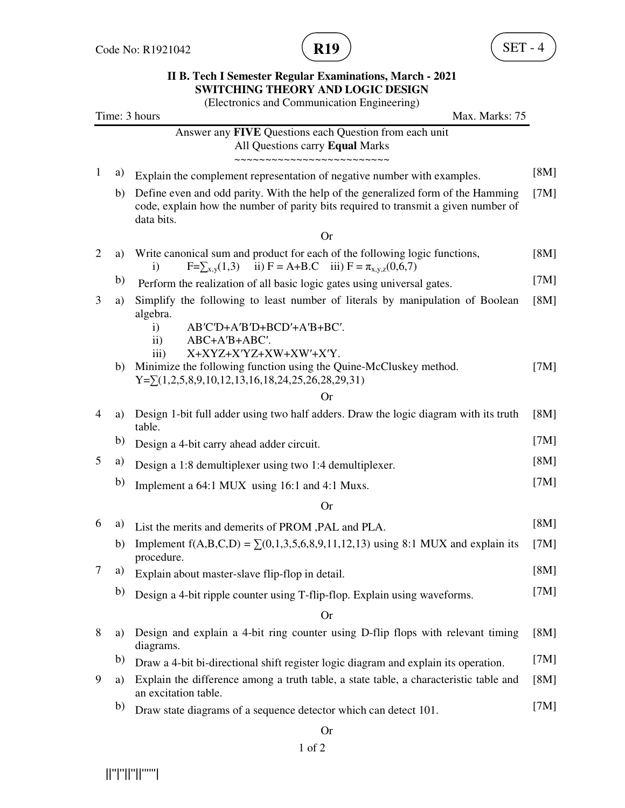

(Electronics and Communication Engineering)

|              |    | (Electronics and Communication Engineering)<br>Time: 3 hours<br>Max. Marks: 75                                                                                                       |      |
|--------------|----|--------------------------------------------------------------------------------------------------------------------------------------------------------------------------------------|------|
|              |    | Answer any FIVE Questions each Question from each unit<br>All Questions carry Equal Marks                                                                                            |      |
| $\mathbf{1}$ | a) | Explain the complement representation of negative number with examples.                                                                                                              | [8M] |
|              | b) | Define even and odd parity. With the help of the generalized form of the Hamming<br>code, explain how the number of parity bits required to transmit a given number of<br>data bits. | [7M] |
|              |    | <b>Or</b>                                                                                                                                                                            |      |
| 2            | a) | Write canonical sum and product for each of the following logic functions,<br>$F=\sum_{x,y}(1,3)$ ii) $F = A+B.C$ iii) $F = \pi_{x,y,z}(0,6,7)$<br>$\mathbf{i}$                      | [8M] |
|              | b) | Perform the realization of all basic logic gates using universal gates.                                                                                                              | [7M] |
| 3            | a) | Simplify the following to least number of literals by manipulation of Boolean<br>algebra.                                                                                            | [8M] |
|              |    | AB'C'D+A'B'D+BCD'+A'B+BC'.<br>$\mathbf{i}$<br>$\mathbf{ii}$<br>ABC+A'B+ABC'.                                                                                                         |      |
|              |    | X+XYZ+X'YZ+XW+XW'+X'Y.<br>$\overline{111}$ )                                                                                                                                         |      |
|              | b) | Minimize the following function using the Quine-McCluskey method.<br>$Y = \sum (1,2,5,8,9,10,12,13,16,18,24,25,26,28,29,31)$                                                         | [7M] |
|              |    | <b>Or</b>                                                                                                                                                                            |      |
| 4            | a) | Design 1-bit full adder using two half adders. Draw the logic diagram with its truth<br>table.                                                                                       | [8M] |
|              | b) | Design a 4-bit carry ahead adder circuit.                                                                                                                                            | [7M] |
| 5            | a) | Design a 1:8 demultiplexer using two 1:4 demultiplexer.                                                                                                                              | [8M] |
|              | b) | Implement a 64:1 MUX using 16:1 and 4:1 Muxs.                                                                                                                                        | [7M] |
|              |    | <b>Or</b>                                                                                                                                                                            |      |
| 6            | a) | List the merits and demerits of PROM, PAL and PLA.                                                                                                                                   | [8M] |
|              | b) | Implement $f(A,B,C,D) = \sum (0,1,3,5,6,8,9,11,12,13)$ using 8:1 MUX and explain its<br>procedure.                                                                                   | [7M] |
| 7            | a) | Explain about master-slave flip-flop in detail.                                                                                                                                      | [8M] |
|              | b) | Design a 4-bit ripple counter using T-flip-flop. Explain using waveforms.                                                                                                            | [7M] |
|              |    | <b>Or</b>                                                                                                                                                                            |      |
| 8            | a) | Design and explain a 4-bit ring counter using D-flip flops with relevant timing<br>diagrams.                                                                                         | [8M] |
|              | b) | Draw a 4-bit bi-directional shift register logic diagram and explain its operation.                                                                                                  | [7M] |
| 9            | a) | Explain the difference among a truth table, a state table, a characteristic table and<br>an excitation table.                                                                        | [8M] |
|              | b) | Draw state diagrams of a sequence detector which can detect 101.                                                                                                                     | [7M] |
|              |    | <b>Or</b>                                                                                                                                                                            |      |